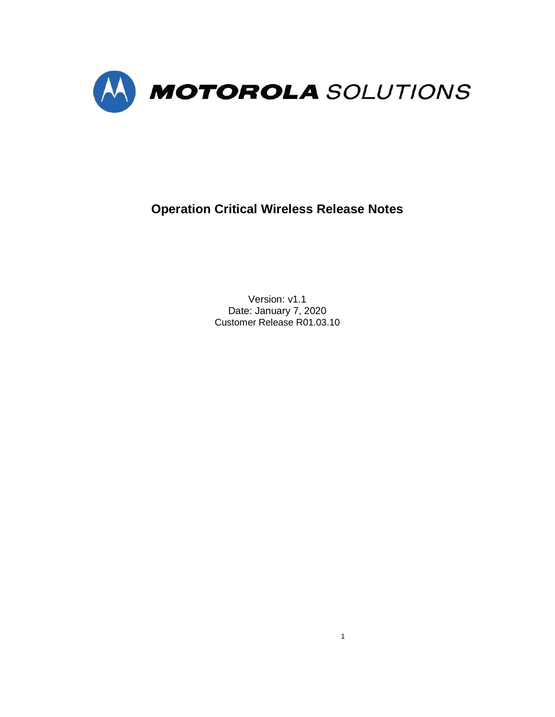

**Operation Critical Wireless Release Notes**

Version: v1.1 Date: January 7, 2020 Customer Release R01.03.10

1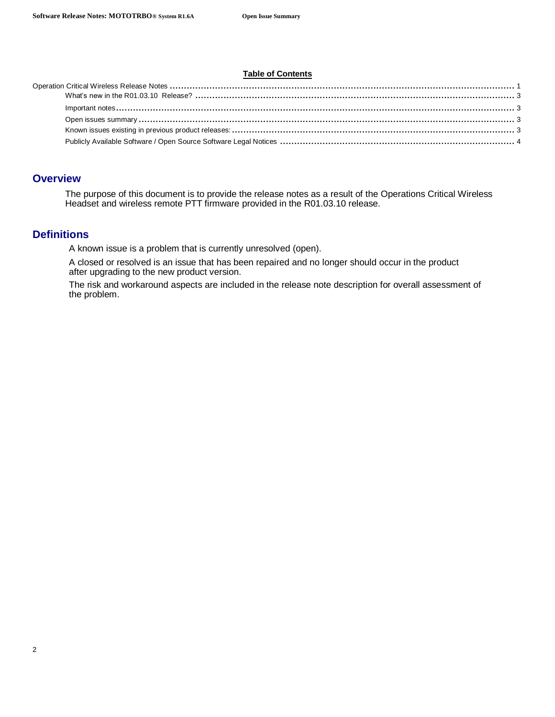#### **Table of Contents**

### **Overview**

The purpose of this document is to provide the release notes as a result of the Operations Critical Wireless Headset and wireless remote PTT firmware provided in the R01.03.10 release.

## **Definitions**

A known issue is a problem that is currently unresolved (open).

A closed or resolved is an issue that has been repaired and no longer should occur in the product after upgrading to the new product version.

The risk and workaround aspects are included in the release note description for overall assessment of the problem.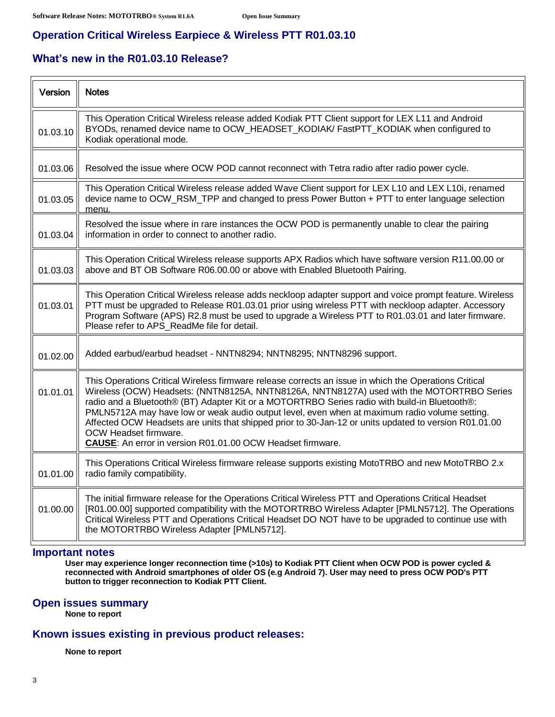f

# **Operation Critical Wireless Earpiece & Wireless PTT R01.03.10**

# **What's new in the R01.03.10 Release?**

| Version  | <b>Notes</b>                                                                                                                                                                                                                                                                                                                                                                                                                                                                                                                                                                                         |
|----------|------------------------------------------------------------------------------------------------------------------------------------------------------------------------------------------------------------------------------------------------------------------------------------------------------------------------------------------------------------------------------------------------------------------------------------------------------------------------------------------------------------------------------------------------------------------------------------------------------|
| 01.03.10 | This Operation Critical Wireless release added Kodiak PTT Client support for LEX L11 and Android<br>BYODs, renamed device name to OCW_HEADSET_KODIAK/ FastPTT_KODIAK when configured to<br>Kodiak operational mode.                                                                                                                                                                                                                                                                                                                                                                                  |
| 01.03.06 | Resolved the issue where OCW POD cannot reconnect with Tetra radio after radio power cycle.                                                                                                                                                                                                                                                                                                                                                                                                                                                                                                          |
| 01.03.05 | This Operation Critical Wireless release added Wave Client support for LEX L10 and LEX L10i, renamed<br>device name to OCW_RSM_TPP and changed to press Power Button + PTT to enter language selection<br>menu.                                                                                                                                                                                                                                                                                                                                                                                      |
| 01.03.04 | Resolved the issue where in rare instances the OCW POD is permanently unable to clear the pairing<br>information in order to connect to another radio.                                                                                                                                                                                                                                                                                                                                                                                                                                               |
| 01.03.03 | This Operation Critical Wireless release supports APX Radios which have software version R11.00.00 or<br>above and BT OB Software R06.00.00 or above with Enabled Bluetooth Pairing.                                                                                                                                                                                                                                                                                                                                                                                                                 |
| 01.03.01 | This Operation Critical Wireless release adds neckloop adapter support and voice prompt feature. Wireless<br>PTT must be upgraded to Release R01.03.01 prior using wireless PTT with neckloop adapter. Accessory<br>Program Software (APS) R2.8 must be used to upgrade a Wireless PTT to R01.03.01 and later firmware.<br>Please refer to APS_ReadMe file for detail.                                                                                                                                                                                                                               |
| 01.02.00 | Added earbud/earbud headset - NNTN8294; NNTN8295; NNTN8296 support.                                                                                                                                                                                                                                                                                                                                                                                                                                                                                                                                  |
| 01.01.01 | This Operations Critical Wireless firmware release corrects an issue in which the Operations Critical<br>Wireless (OCW) Headsets: (NNTN8125A, NNTN8126A, NNTN8127A) used with the MOTORTRBO Series<br>radio and a Bluetooth® (BT) Adapter Kit or a MOTORTRBO Series radio with build-in Bluetooth®:<br>PMLN5712A may have low or weak audio output level, even when at maximum radio volume setting.<br>Affected OCW Headsets are units that shipped prior to 30-Jan-12 or units updated to version R01.01.00<br>OCW Headset firmware.<br>CAUSE: An error in version R01.01.00 OCW Headset firmware. |
| 01.01.00 | This Operations Critical Wireless firmware release supports existing MotoTRBO and new MotoTRBO 2.x<br>radio family compatibility.                                                                                                                                                                                                                                                                                                                                                                                                                                                                    |
| 01.00.00 | The initial firmware release for the Operations Critical Wireless PTT and Operations Critical Headset<br>[R01.00.00] supported compatibility with the MOTORTRBO Wireless Adapter [PMLN5712]. The Operations<br>Critical Wireless PTT and Operations Critical Headset DO NOT have to be upgraded to continue use with<br>the MOTORTRBO Wireless Adapter [PMLN5712].                                                                                                                                                                                                                                   |

#### **Important notes**

**User may experience longer reconnection time (>10s) to Kodiak PTT Client when OCW POD is power cycled & reconnected with Android smartphones of older OS (e.g Android 7). User may need to press OCW POD's PTT button to trigger reconnection to Kodiak PTT Client.**

### **Open issues summary**

**None to report**

## **Known issues existing in previous product releases:**

**None to report**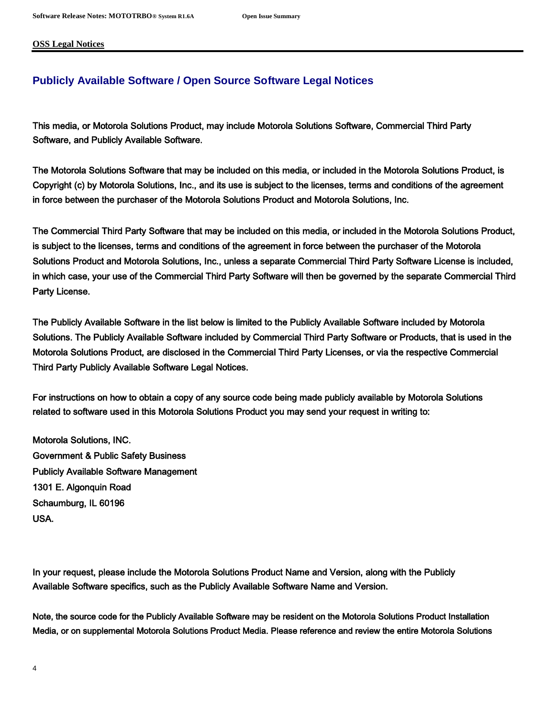**OSS Legal Notices**

### **Publicly Available Software / Open Source Software Legal Notices**

This media, or Motorola Solutions Product, may include Motorola Solutions Software, Commercial Third Party Software, and Publicly Available Software.

The Motorola Solutions Software that may be included on this media, or included in the Motorola Solutions Product, is Copyright (c) by Motorola Solutions, Inc., and its use is subject to the licenses, terms and conditions of the agreement in force between the purchaser of the Motorola Solutions Product and Motorola Solutions, Inc.

The Commercial Third Party Software that may be included on this media, or included in the Motorola Solutions Product, is subject to the licenses, terms and conditions of the agreement in force between the purchaser of the Motorola Solutions Product and Motorola Solutions, Inc., unless a separate Commercial Third Party Software License is included, in which case, your use of the Commercial Third Party Software will then be governed by the separate Commercial Third Party License.

The Publicly Available Software in the list below is limited to the Publicly Available Software included by Motorola Solutions. The Publicly Available Software included by Commercial Third Party Software or Products, that is used in the Motorola Solutions Product, are disclosed in the Commercial Third Party Licenses, or via the respective Commercial Third Party Publicly Available Software Legal Notices.

For instructions on how to obtain a copy of any source code being made publicly available by Motorola Solutions related to software used in this Motorola Solutions Product you may send your request in writing to:

Motorola Solutions, INC. Government & Public Safety Business Publicly Available Software Management 1301 E. Algonquin Road Schaumburg, IL 60196 USA.

In your request, please include the Motorola Solutions Product Name and Version, along with the Publicly Available Software specifics, such as the Publicly Available Software Name and Version.

Note, the source code for the Publicly Available Software may be resident on the Motorola Solutions Product Installation Media, or on supplemental Motorola Solutions Product Media. Please reference and review the entire Motorola Solutions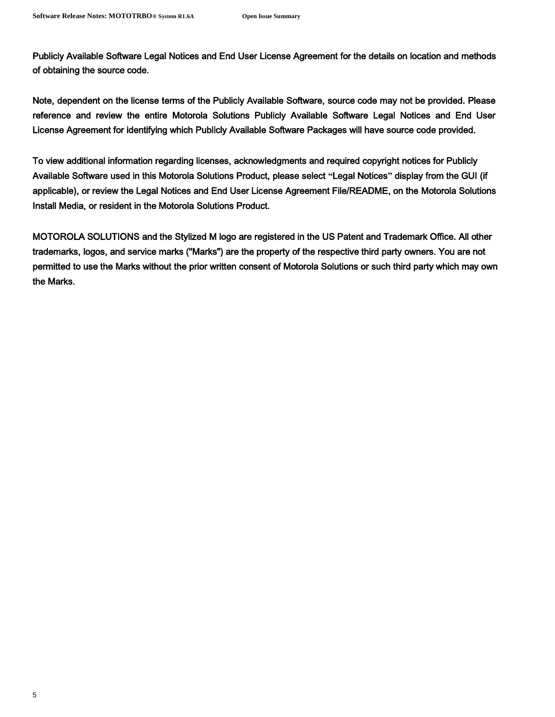Publicly Available Software Legal Notices and End User License Agreement for the details on location and methods of obtaining the source code.

Note, dependent on the license terms of the Publicly Available Software, source code may not be provided. Please reference and review the entire Motorola Solutions Publicly Available Software Legal Notices and End User License Agreement for identifying which Publicly Available Software Packages will have source code provided.

To view additional information regarding licenses, acknowledgments and required copyright notices for Publicly Available Software used in this Motorola Solutions Product, please select **"**Legal Notices**"** display from the GUI (if applicable), or review the Legal Notices and End User License Agreement File/README, on the Motorola Solutions Install Media, or resident in the Motorola Solutions Product.

MOTOROLA SOLUTIONS and the Stylized M logo are registered in the US Patent and Trademark Office. All other trademarks, logos, and service marks ("Marks") are the property of the respective third party owners. You are not permitted to use the Marks without the prior written consent of Motorola Solutions or such third party which may own the Marks.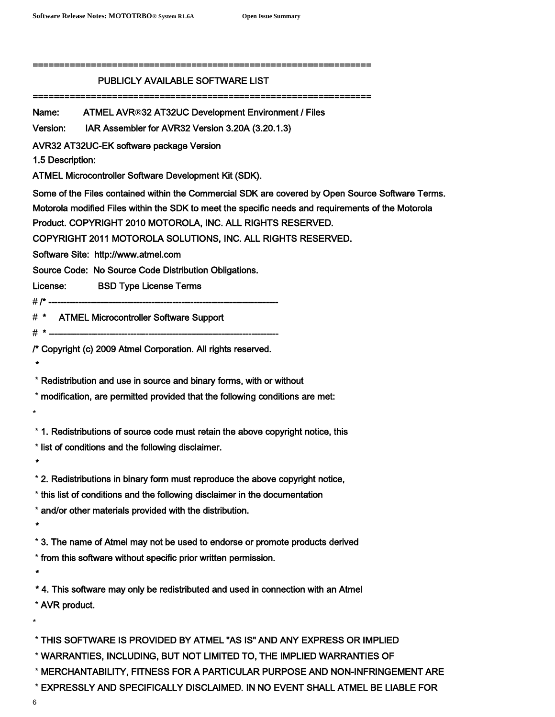| PUBLICLY AVAILABLE SOFTWARE LIST                                                                                                                                                                                                                                                                                                                                             |
|------------------------------------------------------------------------------------------------------------------------------------------------------------------------------------------------------------------------------------------------------------------------------------------------------------------------------------------------------------------------------|
| Name: ATMEL AVR®32 AT32UC Development Environment / Files                                                                                                                                                                                                                                                                                                                    |
| Version: IAR Assembler for AVR32 Version 3.20A (3.20.1.3)                                                                                                                                                                                                                                                                                                                    |
| AVR32 AT32UC-EK software package Version<br>1.5 Description:                                                                                                                                                                                                                                                                                                                 |
| ATMEL Microcontroller Software Development Kit (SDK).                                                                                                                                                                                                                                                                                                                        |
| Some of the Files contained within the Commercial SDK are covered by Open Source Software Terms.<br>Motorola modified Files within the SDK to meet the specific needs and requirements of the Motorola<br>Product. COPYRIGHT 2010 MOTOROLA, INC. ALL RIGHTS RESERVED.<br>COPYRIGHT 2011 MOTOROLA SOLUTIONS, INC. ALL RIGHTS RESERVED.<br>Software Site: http://www.atmel.com |
| Source Code: No Source Code Distribution Obligations.                                                                                                                                                                                                                                                                                                                        |
| License: BSD Type License Terms                                                                                                                                                                                                                                                                                                                                              |
|                                                                                                                                                                                                                                                                                                                                                                              |
| # * ATMEL Microcontroller Software Support                                                                                                                                                                                                                                                                                                                                   |
| /* Copyright (c) 2009 Atmel Corporation. All rights reserved.<br>$\bullet$                                                                                                                                                                                                                                                                                                   |
| * Redistribution and use in source and binary forms, with or without                                                                                                                                                                                                                                                                                                         |
| * modification, are permitted provided that the following conditions are met:<br>*                                                                                                                                                                                                                                                                                           |
| * 1. Redistributions of source code must retain the above copyright notice, this                                                                                                                                                                                                                                                                                             |
| * list of conditions and the following disclaimer.<br>$\bullet$                                                                                                                                                                                                                                                                                                              |
| * 2. Redistributions in binary form must reproduce the above copyright notice,                                                                                                                                                                                                                                                                                               |
| * this list of conditions and the following disclaimer in the documentation                                                                                                                                                                                                                                                                                                  |
| * and/or other materials provided with the distribution.<br>$\star$                                                                                                                                                                                                                                                                                                          |
| * 3. The name of Atmel may not be used to endorse or promote products derived                                                                                                                                                                                                                                                                                                |
| * from this software without specific prior written permission.<br>$\star$                                                                                                                                                                                                                                                                                                   |
| *4. This software may only be redistributed and used in connection with an Atmel<br>* AVR product.<br>$^\star$                                                                                                                                                                                                                                                               |
| * THIS SOFTWARE IS PROVIDED BY ATMEL "AS IS" AND ANY EXPRESS OR IMPLIED<br>* WARRANTIES, INCLUDING, BUT NOT LIMITED TO, THE IMPLIED WARRANTIES OF<br>* MERCHANTABILITY, FITNESS FOR A PARTICULAR PURPOSE AND NON-INFRINGEMENT ARE                                                                                                                                            |

- \* EXPRESSLY AND SPECIFICALLY DISCLAIMED. IN NO EVENT SHALL ATMEL BE LIABLE FOR
- 6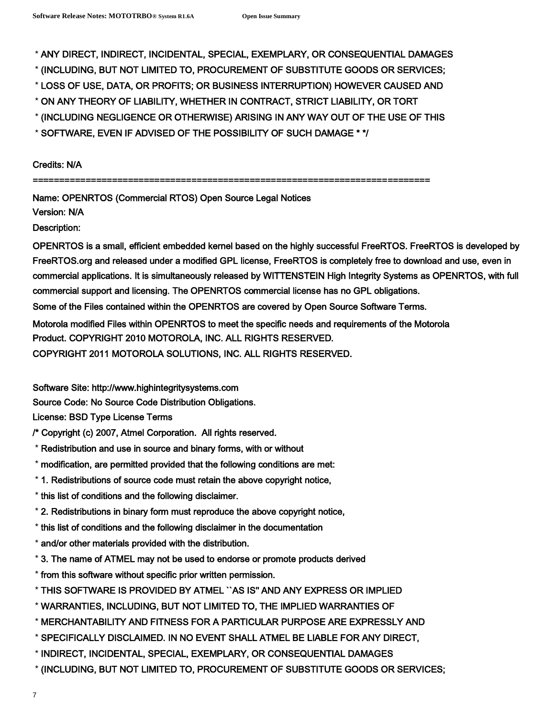\* ANY DIRECT, INDIRECT, INCIDENTAL, SPECIAL, EXEMPLARY, OR CONSEQUENTIAL DAMAGES

- \* (INCLUDING, BUT NOT LIMITED TO, PROCUREMENT OF SUBSTITUTE GOODS OR SERVICES;
- \* LOSS OF USE, DATA, OR PROFITS; OR BUSINESS INTERRUPTION) HOWEVER CAUSED AND
- \* ON ANY THEORY OF LIABILITY, WHETHER IN CONTRACT, STRICT LIABILITY, OR TORT
- \* (INCLUDING NEGLIGENCE OR OTHERWISE) ARISING IN ANY WAY OUT OF THE USE OF THIS
- \* SOFTWARE, EVEN IF ADVISED OF THE POSSIBILITY OF SUCH DAMAGE \* \*/

Credits: N/A

===========================================================================

Name: OPENRTOS (Commercial RTOS) Open Source Legal Notices

Version: N/A

Description:

OPENRTOS is a small, efficient embedded kernel based on the highly successful FreeRTOS. FreeRTOS is developed by FreeRTOS.org and released under a modified GPL license, FreeRTOS is completely free to download and use, even in commercial applications. It is simultaneously released by WITTENSTEIN High Integrity Systems as OPENRTOS, with full commercial support and licensing. The OPENRTOS commercial license has no GPL obligations.

Some of the Files contained within the OPENRTOS are covered by Open Source Software Terms.

Motorola modified Files within OPENRTOS to meet the specific needs and requirements of the Motorola Product. COPYRIGHT 2010 MOTOROLA, INC. ALL RIGHTS RESERVED.

COPYRIGHT 2011 MOTOROLA SOLUTIONS, INC. ALL RIGHTS RESERVED.

Software Site: http://www.highintegritysystems.com

Source Code: No Source Code Distribution Obligations.

License: BSD Type License Terms

- /\* Copyright (c) 2007, Atmel Corporation. All rights reserved.
- \* Redistribution and use in source and binary forms, with or without
- \* modification, are permitted provided that the following conditions are met:
- \* 1. Redistributions of source code must retain the above copyright notice,
- \* this list of conditions and the following disclaimer.
- \* 2. Redistributions in binary form must reproduce the above copyright notice,
- \* this list of conditions and the following disclaimer in the documentation
- \* and/or other materials provided with the distribution.
- \* 3. The name of ATMEL may not be used to endorse or promote products derived
- \* from this software without specific prior written permission.
- \* THIS SOFTWARE IS PROVIDED BY ATMEL ``AS IS'' AND ANY EXPRESS OR IMPLIED
- \* WARRANTIES, INCLUDING, BUT NOT LIMITED TO, THE IMPLIED WARRANTIES OF
- \* MERCHANTABILITY AND FITNESS FOR A PARTICULAR PURPOSE ARE EXPRESSLY AND
- \* SPECIFICALLY DISCLAIMED. IN NO EVENT SHALL ATMEL BE LIABLE FOR ANY DIRECT,
- \* INDIRECT, INCIDENTAL, SPECIAL, EXEMPLARY, OR CONSEQUENTIAL DAMAGES
- \* (INCLUDING, BUT NOT LIMITED TO, PROCUREMENT OF SUBSTITUTE GOODS OR SERVICES;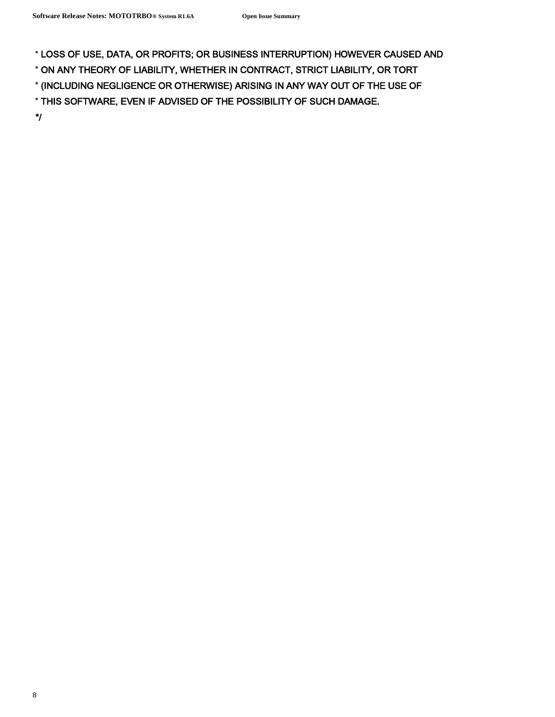\* LOSS OF USE, DATA, OR PROFITS; OR BUSINESS INTERRUPTION) HOWEVER CAUSED AND

\* ON ANY THEORY OF LIABILITY, WHETHER IN CONTRACT, STRICT LIABILITY, OR TORT

\* (INCLUDING NEGLIGENCE OR OTHERWISE) ARISING IN ANY WAY OUT OF THE USE OF

\* THIS SOFTWARE, EVEN IF ADVISED OF THE POSSIBILITY OF SUCH DAMAGE.

\*/